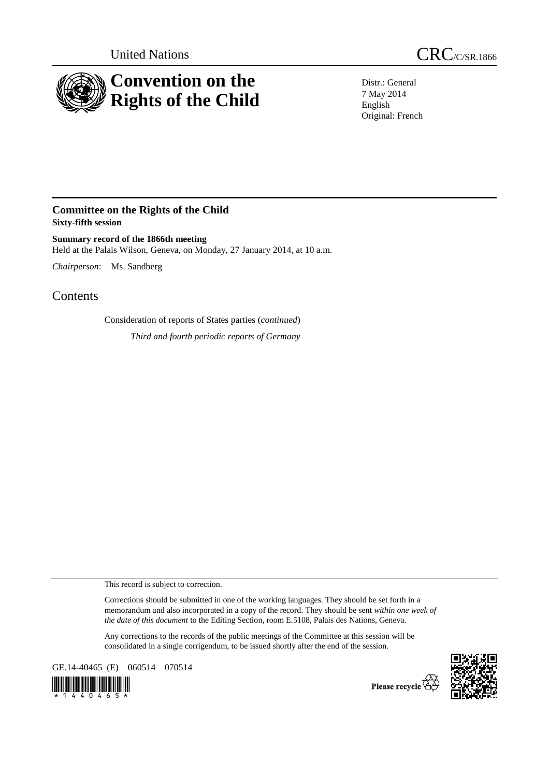

United Nations CRC/C/SR.1866

Distr.: General 7 May 2014 English Original: French

## **Committee on the Rights of the Child Sixty-fifth session**

**Summary record of the 1866th meeting**  Held at the Palais Wilson, Geneva, on Monday, 27 January 2014, at 10 a.m.

*Chairperson*: Ms. Sandberg

Contents

Consideration of reports of States parties (*continued*) *Third and fourth periodic reports of Germany* 

This record is subject to correction.

Corrections should be submitted in one of the working languages. They should be set forth in a memorandum and also incorporated in a copy of the record. They should be sent *within one week of the date of this document* to the Editing Section, room E.5108, Palais des Nations, Geneva.

Any corrections to the records of the public meetings of the Committee at this session will be consolidated in a single corrigendum, to be issued shortly after the end of the session.

GE.14-40465 (E) 060514 070514





Please recycle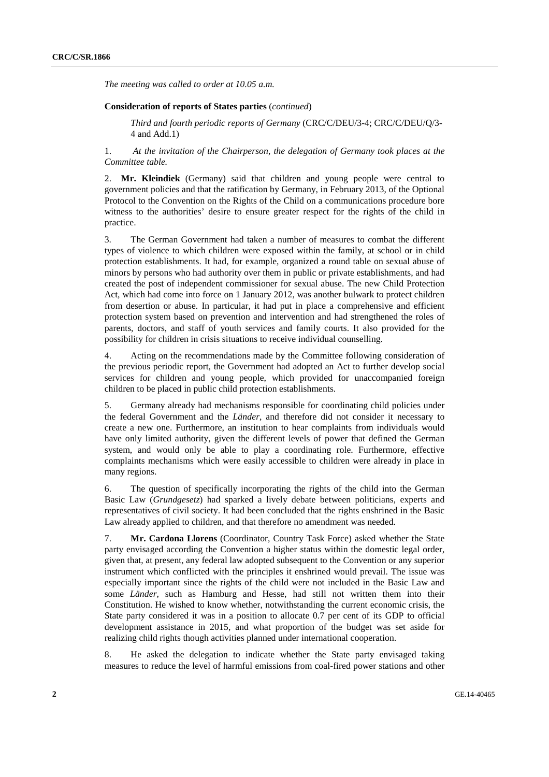*The meeting was called to order at 10.05 a.m.* 

## **Consideration of reports of States parties** (*continued*)

*Third and fourth periodic reports of Germany* (CRC/C/DEU/3-4; CRC/C/DEU/Q/3- 4 and Add.1)

1. *At the invitation of the Chairperson, the delegation of Germany took places at the Committee table.* 

2. **Mr. Kleindiek** (Germany) said that children and young people were central to government policies and that the ratification by Germany, in February 2013, of the Optional Protocol to the Convention on the Rights of the Child on a communications procedure bore witness to the authorities' desire to ensure greater respect for the rights of the child in practice.

3. The German Government had taken a number of measures to combat the different types of violence to which children were exposed within the family, at school or in child protection establishments. It had, for example, organized a round table on sexual abuse of minors by persons who had authority over them in public or private establishments, and had created the post of independent commissioner for sexual abuse. The new Child Protection Act, which had come into force on 1 January 2012, was another bulwark to protect children from desertion or abuse. In particular, it had put in place a comprehensive and efficient protection system based on prevention and intervention and had strengthened the roles of parents, doctors, and staff of youth services and family courts. It also provided for the possibility for children in crisis situations to receive individual counselling.

4. Acting on the recommendations made by the Committee following consideration of the previous periodic report, the Government had adopted an Act to further develop social services for children and young people, which provided for unaccompanied foreign children to be placed in public child protection establishments.

5. Germany already had mechanisms responsible for coordinating child policies under the federal Government and the *Länder*, and therefore did not consider it necessary to create a new one. Furthermore, an institution to hear complaints from individuals would have only limited authority, given the different levels of power that defined the German system, and would only be able to play a coordinating role. Furthermore, effective complaints mechanisms which were easily accessible to children were already in place in many regions.

6. The question of specifically incorporating the rights of the child into the German Basic Law (*Grundgesetz*) had sparked a lively debate between politicians, experts and representatives of civil society. It had been concluded that the rights enshrined in the Basic Law already applied to children, and that therefore no amendment was needed.

7. **Mr. Cardona Llorens** (Coordinator, Country Task Force) asked whether the State party envisaged according the Convention a higher status within the domestic legal order, given that, at present, any federal law adopted subsequent to the Convention or any superior instrument which conflicted with the principles it enshrined would prevail. The issue was especially important since the rights of the child were not included in the Basic Law and some *Länder*, such as Hamburg and Hesse, had still not written them into their Constitution. He wished to know whether, notwithstanding the current economic crisis, the State party considered it was in a position to allocate 0.7 per cent of its GDP to official development assistance in 2015, and what proportion of the budget was set aside for realizing child rights though activities planned under international cooperation.

8. He asked the delegation to indicate whether the State party envisaged taking measures to reduce the level of harmful emissions from coal-fired power stations and other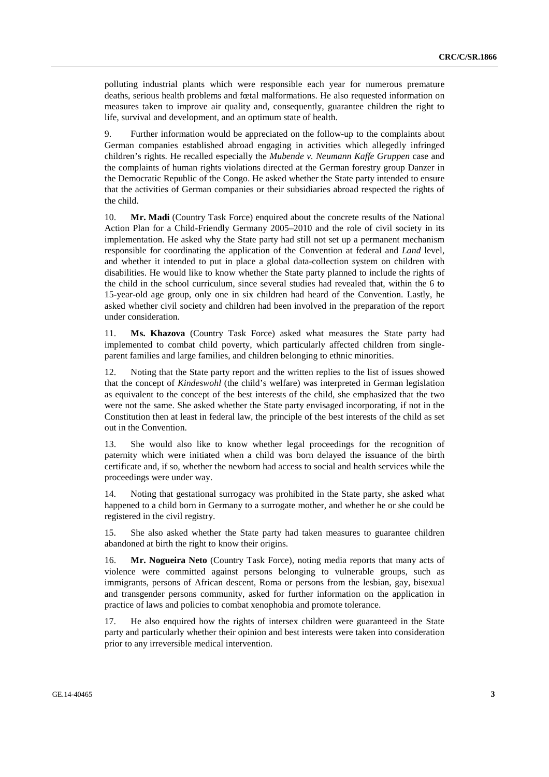polluting industrial plants which were responsible each year for numerous premature deaths, serious health problems and fœtal malformations. He also requested information on measures taken to improve air quality and, consequently, guarantee children the right to life, survival and development, and an optimum state of health.

9. Further information would be appreciated on the follow-up to the complaints about German companies established abroad engaging in activities which allegedly infringed children's rights. He recalled especially the *Mubende v. Neumann Kaffe Gruppen* case and the complaints of human rights violations directed at the German forestry group Danzer in the Democratic Republic of the Congo. He asked whether the State party intended to ensure that the activities of German companies or their subsidiaries abroad respected the rights of the child.

10. **Mr. Madi** (Country Task Force) enquired about the concrete results of the National Action Plan for a Child-Friendly Germany 2005–2010 and the role of civil society in its implementation. He asked why the State party had still not set up a permanent mechanism responsible for coordinating the application of the Convention at federal and *Land* level, and whether it intended to put in place a global data-collection system on children with disabilities. He would like to know whether the State party planned to include the rights of the child in the school curriculum, since several studies had revealed that, within the 6 to 15-year-old age group, only one in six children had heard of the Convention. Lastly, he asked whether civil society and children had been involved in the preparation of the report under consideration.

11. **Ms. Khazova** (Country Task Force) asked what measures the State party had implemented to combat child poverty, which particularly affected children from singleparent families and large families, and children belonging to ethnic minorities.

12. Noting that the State party report and the written replies to the list of issues showed that the concept of *Kindeswohl* (the child's welfare) was interpreted in German legislation as equivalent to the concept of the best interests of the child, she emphasized that the two were not the same. She asked whether the State party envisaged incorporating, if not in the Constitution then at least in federal law, the principle of the best interests of the child as set out in the Convention.

13. She would also like to know whether legal proceedings for the recognition of paternity which were initiated when a child was born delayed the issuance of the birth certificate and, if so, whether the newborn had access to social and health services while the proceedings were under way.

14. Noting that gestational surrogacy was prohibited in the State party, she asked what happened to a child born in Germany to a surrogate mother, and whether he or she could be registered in the civil registry.

15. She also asked whether the State party had taken measures to guarantee children abandoned at birth the right to know their origins.

16. **Mr. Nogueira Neto** (Country Task Force), noting media reports that many acts of violence were committed against persons belonging to vulnerable groups, such as immigrants, persons of African descent, Roma or persons from the lesbian, gay, bisexual and transgender persons community, asked for further information on the application in practice of laws and policies to combat xenophobia and promote tolerance.

17. He also enquired how the rights of intersex children were guaranteed in the State party and particularly whether their opinion and best interests were taken into consideration prior to any irreversible medical intervention.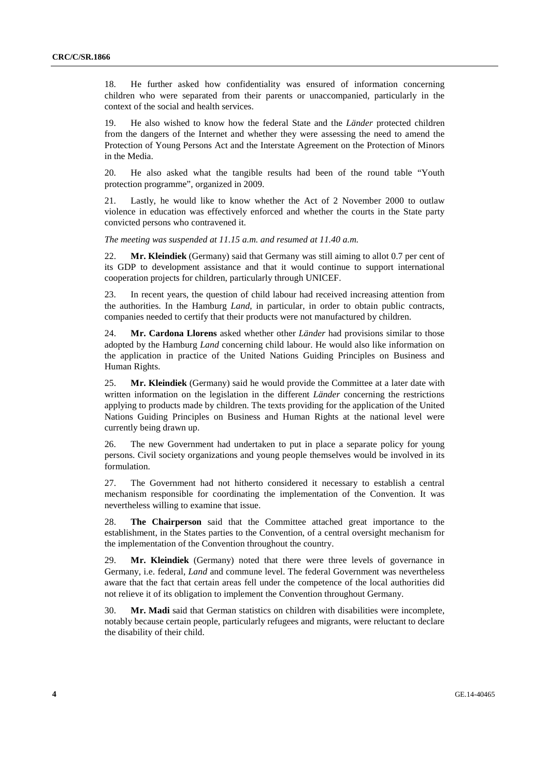18. He further asked how confidentiality was ensured of information concerning children who were separated from their parents or unaccompanied, particularly in the context of the social and health services.

19. He also wished to know how the federal State and the *Länder* protected children from the dangers of the Internet and whether they were assessing the need to amend the Protection of Young Persons Act and the Interstate Agreement on the Protection of Minors in the Media.

20. He also asked what the tangible results had been of the round table "Youth protection programme", organized in 2009.

21. Lastly, he would like to know whether the Act of 2 November 2000 to outlaw violence in education was effectively enforced and whether the courts in the State party convicted persons who contravened it.

*The meeting was suspended at 11.15 a.m. and resumed at 11.40 a.m.* 

22. **Mr. Kleindiek** (Germany) said that Germany was still aiming to allot 0.7 per cent of its GDP to development assistance and that it would continue to support international cooperation projects for children, particularly through UNICEF.

23. In recent years, the question of child labour had received increasing attention from the authorities. In the Hamburg *Land*, in particular, in order to obtain public contracts, companies needed to certify that their products were not manufactured by children.

24. **Mr. Cardona Llorens** asked whether other *Länder* had provisions similar to those adopted by the Hamburg *Land* concerning child labour. He would also like information on the application in practice of the United Nations Guiding Principles on Business and Human Rights.

25. **Mr. Kleindiek** (Germany) said he would provide the Committee at a later date with written information on the legislation in the different *Länder* concerning the restrictions applying to products made by children. The texts providing for the application of the United Nations Guiding Principles on Business and Human Rights at the national level were currently being drawn up.

26. The new Government had undertaken to put in place a separate policy for young persons. Civil society organizations and young people themselves would be involved in its formulation.

27. The Government had not hitherto considered it necessary to establish a central mechanism responsible for coordinating the implementation of the Convention. It was nevertheless willing to examine that issue.

28. **The Chairperson** said that the Committee attached great importance to the establishment, in the States parties to the Convention, of a central oversight mechanism for the implementation of the Convention throughout the country.

29. **Mr. Kleindiek** (Germany) noted that there were three levels of governance in Germany, i.e. federal, *Land* and commune level. The federal Government was nevertheless aware that the fact that certain areas fell under the competence of the local authorities did not relieve it of its obligation to implement the Convention throughout Germany.

30. **Mr. Madi** said that German statistics on children with disabilities were incomplete, notably because certain people, particularly refugees and migrants, were reluctant to declare the disability of their child.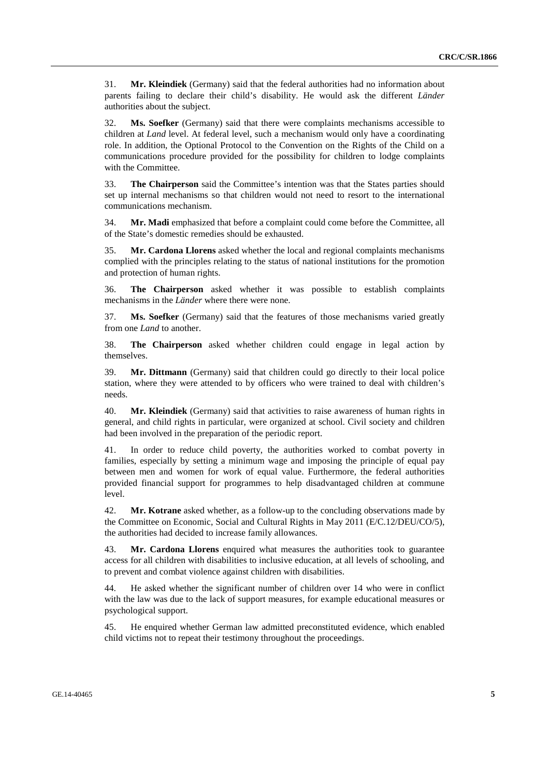31. **Mr. Kleindiek** (Germany) said that the federal authorities had no information about parents failing to declare their child's disability. He would ask the different *Länder* authorities about the subject.

32. **Ms. Soefker** (Germany) said that there were complaints mechanisms accessible to children at *Land* level. At federal level, such a mechanism would only have a coordinating role. In addition, the Optional Protocol to the Convention on the Rights of the Child on a communications procedure provided for the possibility for children to lodge complaints with the Committee.

33. **The Chairperson** said the Committee's intention was that the States parties should set up internal mechanisms so that children would not need to resort to the international communications mechanism.

34. **Mr. Madi** emphasized that before a complaint could come before the Committee, all of the State's domestic remedies should be exhausted.

35. **Mr. Cardona Llorens** asked whether the local and regional complaints mechanisms complied with the principles relating to the status of national institutions for the promotion and protection of human rights.

36. **The Chairperson** asked whether it was possible to establish complaints mechanisms in the *Länder* where there were none.

37. **Ms. Soefker** (Germany) said that the features of those mechanisms varied greatly from one *Land* to another.

38. **The Chairperson** asked whether children could engage in legal action by themselves.

39. **Mr. Dittmann** (Germany) said that children could go directly to their local police station, where they were attended to by officers who were trained to deal with children's needs.

40. **Mr. Kleindiek** (Germany) said that activities to raise awareness of human rights in general, and child rights in particular, were organized at school. Civil society and children had been involved in the preparation of the periodic report.

41. In order to reduce child poverty, the authorities worked to combat poverty in families, especially by setting a minimum wage and imposing the principle of equal pay between men and women for work of equal value. Furthermore, the federal authorities provided financial support for programmes to help disadvantaged children at commune level.

42. **Mr. Kotrane** asked whether, as a follow-up to the concluding observations made by the Committee on Economic, Social and Cultural Rights in May 2011 (E/C.12/DEU/CO/5), the authorities had decided to increase family allowances.

43. **Mr. Cardona Llorens** enquired what measures the authorities took to guarantee access for all children with disabilities to inclusive education, at all levels of schooling, and to prevent and combat violence against children with disabilities.

44. He asked whether the significant number of children over 14 who were in conflict with the law was due to the lack of support measures, for example educational measures or psychological support.

45. He enquired whether German law admitted preconstituted evidence, which enabled child victims not to repeat their testimony throughout the proceedings.